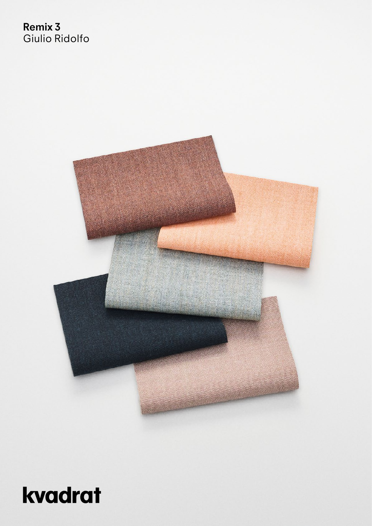## **Remix 3** Giulio Ridolfo



# kvadrat